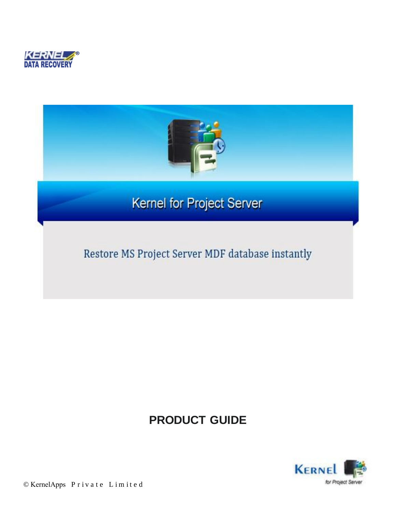



## **PRODUCT GUIDE**



© KernelApps Private Limited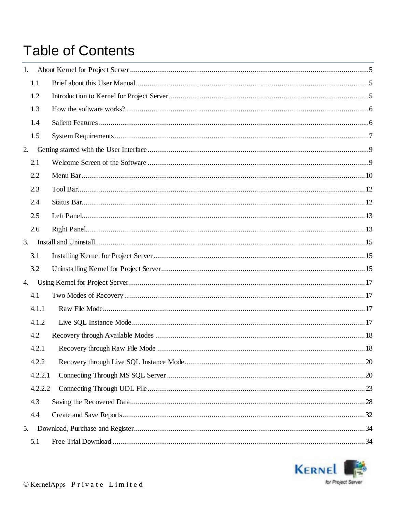# **Table of Contents**

| 1. |         |  |
|----|---------|--|
|    | 1.1     |  |
|    | 1.2     |  |
|    | 1.3     |  |
|    | 1.4     |  |
|    | 1.5     |  |
| 2. |         |  |
|    | 2.1     |  |
|    | 2.2     |  |
|    | 2.3     |  |
|    | 2.4     |  |
|    | 2.5     |  |
|    | 2.6     |  |
| 3. |         |  |
|    | 3.1     |  |
|    | 3.2     |  |
| 4. |         |  |
|    | 4.1     |  |
|    | 4.1.1   |  |
|    | 4.1.2   |  |
|    | 4.2     |  |
|    | 4.2.1   |  |
|    | 4.2.2   |  |
|    | 4.2.2.1 |  |
|    | 4.2.2.2 |  |
|    | 4.3     |  |
|    | 4.4     |  |
| 5. |         |  |
|    | 5.1     |  |

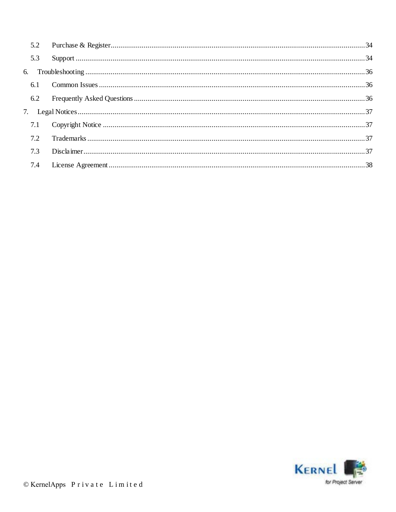| 5.3 |  |
|-----|--|
|     |  |
|     |  |
|     |  |
|     |  |
|     |  |
|     |  |
| 7.3 |  |
|     |  |

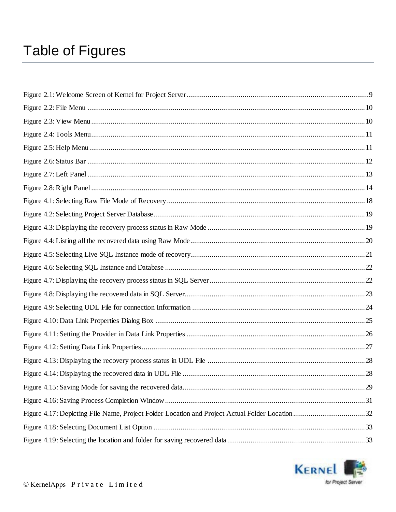# **Table of Figures**

| Figure 4.17: Depicting File Name, Project Folder Location and Project Actual Folder Location32 |  |
|------------------------------------------------------------------------------------------------|--|
|                                                                                                |  |
|                                                                                                |  |

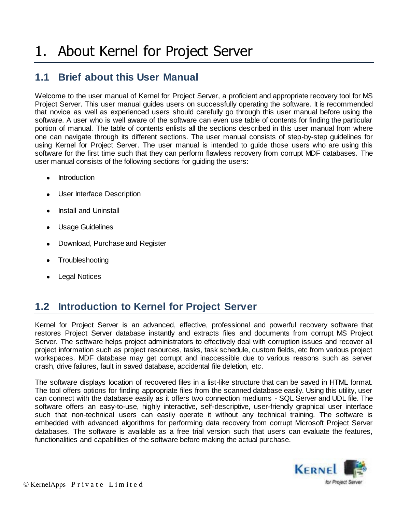### **1.1 Brief about this User Manual**

Welcome to the user manual of Kernel for Project Server, a proficient and appropriate recovery tool for MS Project Server. This user manual guides users on successfully operating the software. It is recommended that novice as well as experienced users should carefully go through this user manual before using the software. A user who is well aware of the software can even use table of contents for finding the particular portion of manual. The table of contents enlists all the sections described in this user manual from where one can navigate through its different sections. The user manual consists of step-by-step guidelines for using Kernel for Project Server. The user manual is intended to guide those users who are using this software for the first time such that they can perform flawless recovery from corrupt MDF databases. The user manual consists of the following sections for guiding the users:

- Introduction
- User Interface Description
- Install and Uninstall
- Usage Guidelines
- Download, Purchase and Register
- **Troubleshooting**
- Legal Notices

## **1.2 Introduction to Kernel for Project Server**

Kernel for Project Server is an advanced, effective, professional and powerful recovery software that restores Project Server database instantly and extracts files and documents from corrupt MS Project Server. The software helps project administrators to effectively deal with corruption issues and recover all project information such as project resources, tasks, task schedule, custom fields, etc from various project workspaces. MDF database may get corrupt and inaccessible due to various reasons such as server crash, drive failures, fault in saved database, accidental file deletion, etc.

The software displays location of recovered files in a list-like structure that can be saved in HTML format. The tool offers options for finding appropriate files from the scanned database easily. Using this utility, user can connect with the database easily as it offers two connection mediums - SQL Server and UDL file. The software offers an easy-to-use, highly interactive, self-descriptive, user-friendly graphical user interface such that non-technical users can easily operate it without any technical training. The software is embedded with advanced algorithms for performing data recovery from corrupt Microsoft Project Server databases. The software is available as a free trial version such that users can evaluate the features, functionalities and capabilities of the software before making the actual purchase.

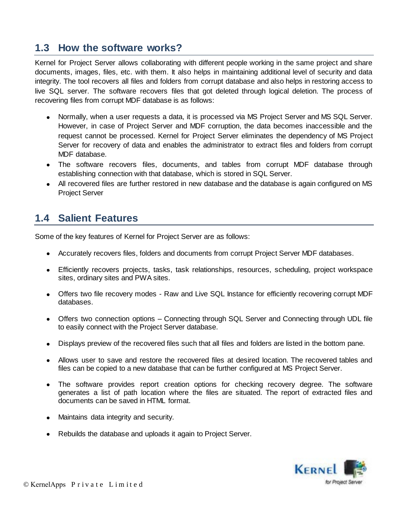### **1.3 How the software works?**

Kernel for Project Server allows collaborating with different people working in the same project and share documents, images, files, etc. with them. It also helps in maintaining additional level of security and data integrity. The tool recovers all files and folders from corrupt database and also helps in restoring access to live SQL server. The software recovers files that got deleted through logical deletion. The process of recovering files from corrupt MDF database is as follows:

- Normally, when a user requests a data, it is processed via MS Project Server and MS SQL Server. However, in case of Project Server and MDF corruption, the data becomes inaccessible and the request cannot be processed. Kernel for Project Server eliminates the dependency of MS Project Server for recovery of data and enables the administrator to extract files and folders from corrupt MDF database.
- The software recovers files, documents, and tables from corrupt MDF database through establishing connection with that database, which is stored in SQL Server.
- All recovered files are further restored in new database and the database is again configured on MS Project Server

### **1.4 Salient Features**

Some of the key features of Kernel for Project Server are as follows:

- Accurately recovers files, folders and documents from corrupt Project Server MDF databases.
- Efficiently recovers projects, tasks, task relationships, resources, scheduling, project workspace sites, ordinary sites and PWA sites.
- Offers two file recovery modes Raw and Live SQL Instance for efficiently recovering corrupt MDF databases.
- Offers two connection options Connecting through SQL Server and Connecting through UDL file to easily connect with the Project Server database.
- Displays preview of the recovered files such that all files and folders are listed in the bottom pane.
- Allows user to save and restore the recovered files at desired location. The recovered tables and files can be copied to a new database that can be further configured at MS Project Server.
- The software provides report creation options for checking recovery degree. The software generates a list of path location where the files are situated. The report of extracted files and documents can be saved in HTML format.
- Maintains data integrity and security.
- Rebuilds the database and uploads it again to Project Server.

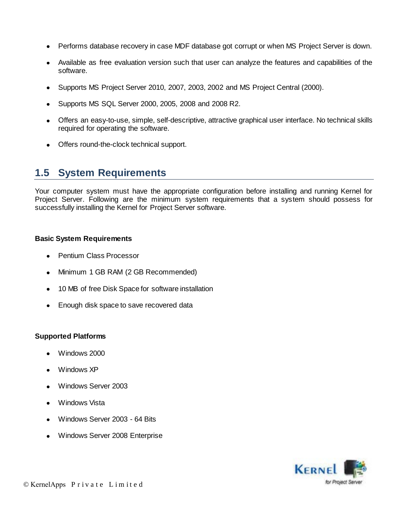- Performs database recovery in case MDF database got corrupt or when MS Project Server is down.
- Available as free evaluation version such that user can analyze the features and capabilities of the software.
- Supports MS Project Server 2010, 2007, 2003, 2002 and MS Project Central (2000).
- Supports MS SQL Server 2000, 2005, 2008 and 2008 R2.
- Offers an easy-to-use, simple, self-descriptive, attractive graphical user interface. No technical skills required for operating the software.
- Offers round-the-clock technical support.

### **1.5 System Requirements**

Your computer system must have the appropriate configuration before installing and running Kernel for Project Server. Following are the minimum system requirements that a system should possess for successfully installing the Kernel for Project Server software.

#### **Basic System Requirements**

- Pentium Class Processor
- Minimum 1 GB RAM (2 GB Recommended)
- 10 MB of free Disk Space for software installation
- Enough disk space to save recovered data  $\bullet$

#### **Supported Platforms**

- Windows 2000
- Windows XP
- Windows Server 2003
- Windows Vista
- Windows Server 2003 64 Bits
- Windows Server 2008 Enterprise

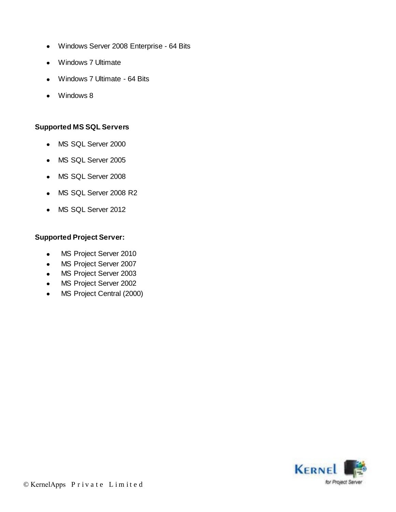- Windows Server 2008 Enterprise 64 Bits  $\bullet$
- Windows 7 Ultimate
- Windows 7 Ultimate 64 Bits  $\bullet$
- Windows 8

#### **Supported MS SQL Servers**

- MS SQL Server 2000
- MS SQL Server 2005
- MS SQL Server 2008
- MS SQL Server 2008 R2
- MS SQL Server 2012

### **Supported Project Server:**

- MS Project Server 2010  $\bullet$
- MS Project Server 2007  $\bullet$
- MS Project Server 2003  $\bullet$
- MS Project Server 2002  $\bullet$
- MS Project Central (2000)  $\bullet$

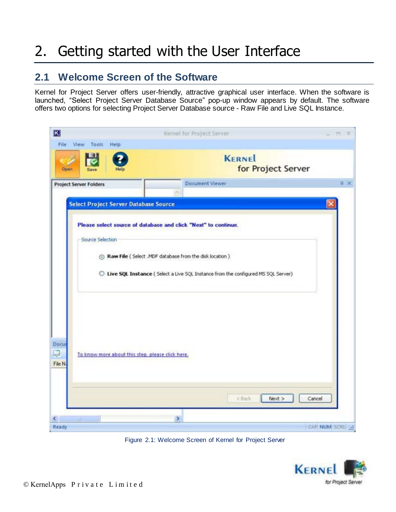# 2. Getting started with the User Interface

### **2.1 Welcome Screen of the Software**

Kernel for Project Server offers user-friendly, attractive graphical user interface. When the software is launched, "Select Project Server Database Source" pop-up window appears by default. The software offers two options for selecting Project Server Database source - Raw File and Live SQL Instance.

| $\vert K \vert$                                                           | Kernel for Project Server                                                                                                                                                                                           | <b>EX UDS</b> |
|---------------------------------------------------------------------------|---------------------------------------------------------------------------------------------------------------------------------------------------------------------------------------------------------------------|---------------|
| File View Tools Help<br>Open                                              | <b>KERNEL</b><br>for Project Server                                                                                                                                                                                 |               |
| <b>Project Server Folders</b>                                             | Document Viewer                                                                                                                                                                                                     | $0 \times$    |
| <b>Select Project Server Database Source</b>                              |                                                                                                                                                                                                                     |               |
| Source Selection                                                          | Please select source of database and click "Next" to continue.<br>@ Raw File ( Select .MDF database from the disk location )<br>C Live SQL Instance ( Select a Live SQL Instance from the configured MS SQL Server) |               |
| Docur<br>马<br>To know more about this step, please click here.<br>File N. |                                                                                                                                                                                                                     |               |
| K.                                                                        | < Back<br>Next<br>$\triangleright$                                                                                                                                                                                  | Cancel        |
| Ready                                                                     |                                                                                                                                                                                                                     | CAP NUM SCRI  |

Figure 2.1: Welcome Screen of Kernel for Project Server

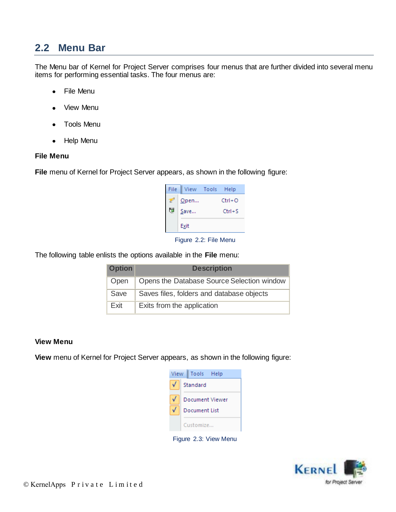### **2.2 Menu Bar**

 The Menu bar of Kernel for Project Server comprises four menus that are further divided into several menu items for performing essential tasks. The four menus are:

- File Menu
- View Menu
- Tools Menu
- Help Menu  $\bullet$

#### **File Menu**

**File** menu of Kernel for Project Server appears, as shown in the following figure:

| File        | View Tools Help |        |            |
|-------------|-----------------|--------|------------|
|             | Open            |        | $Ctrl + O$ |
| l,e<br>Save |                 | Ctrl+S |            |
|             | Exit            |        |            |

Figure 2.2: File Menu

The following table enlists the options available in the **File** menu:

| <b>Option</b> | <b>Description</b>                         |
|---------------|--------------------------------------------|
| Open          | Opens the Database Source Selection window |
| Save          | Saves files, folders and database objects  |
| <b>Fxit</b>   | Exits from the application                 |

#### **View Menu**

**View** menu of Kernel for Project Server appears, as shown in the following figure:

| View |          | Tools Help      |  |
|------|----------|-----------------|--|
|      | Standard |                 |  |
|      |          | Document Viewer |  |
|      |          | Document List   |  |
|      |          | Customize       |  |

Figure 2.3: View Menu

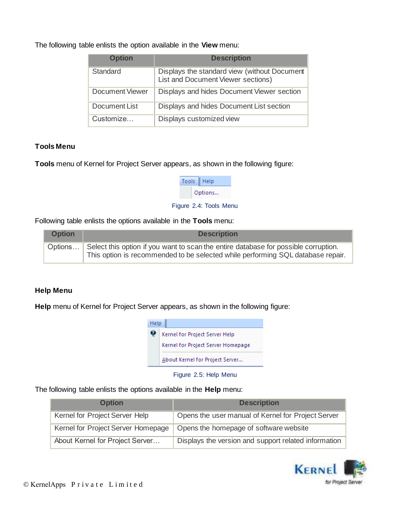The following table enlists the option available in the **View** menu:

| <b>Option</b>          | <b>Description</b>                                                                   |
|------------------------|--------------------------------------------------------------------------------------|
| Standard               | Displays the standard view (without Document  <br>List and Document Viewer sections) |
| <b>Document Viewer</b> | Displays and hides Document Viewer section                                           |
| Document List          | Displays and hides Document List section                                             |
| Customize              | Displays customized view                                                             |

### **Tools Menu**

**Tools** menu of Kernel for Project Server appears, as shown in the following figure:

| Tools | Help    |
|-------|---------|
|       | Options |

Figure 2.4: Tools Menu

Following table enlists the options available in the **Tools** menu:

| <b>Option</b> | <b>Description</b>                                                                                                                                                             |
|---------------|--------------------------------------------------------------------------------------------------------------------------------------------------------------------------------|
|               | Options Select this option if you want to scan the entire database for possible corruption.<br>This option is recommended to be selected while performing SQL database repair. |

#### **Help Menu**

**Help** menu of Kernel for Project Server appears, as shown in the following figure:



Figure 2.5: Help Menu

The following table enlists the options available in the **Help** menu:

| <b>Option</b>                      | <b>Description</b>                                   |
|------------------------------------|------------------------------------------------------|
| Kernel for Project Server Help     | Opens the user manual of Kernel for Project Server   |
| Kernel for Project Server Homepage | Opens the homepage of software website               |
| About Kernel for Project Server    | Displays the version and support related information |

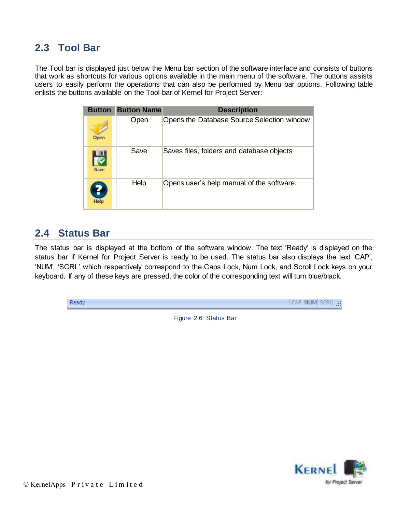### **2.3 Tool Bar**

The Tool bar is displayed just below the Menu bar section of the software interface and consists of buttons that work as shortcuts for various options available in the main menu of the software. The buttons assists users to easily perform the operations that can also be performed by Menu bar options. Following table enlists the buttons available on the Tool bar of Kernel for Project Server:

| <b>Button</b> | <b>Button Name</b> | <b>Description</b>                         |
|---------------|--------------------|--------------------------------------------|
| Open          | Open               | Opens the Database Source Selection window |
| Save          | Save               | Saves files, folders and database objects  |
| Help          | Help               | Opens user's help manual of the software.  |

### **2.4 Status Bar**

The status bar is displayed at the bottom of the software window. The text "Ready" is displayed on the status bar if Kernel for Project Server is ready to be used. The status bar also displays the text "CAP", "NUM", "SCRL" which respectively correspond to the Caps Lock, Num Lock, and Scroll Lock keys on your keyboard. If any of these keys are pressed, the color of the corresponding text will turn blue/black.

| Read |  |  |
|------|--|--|
|      |  |  |

Figure 2.6: Status Bar

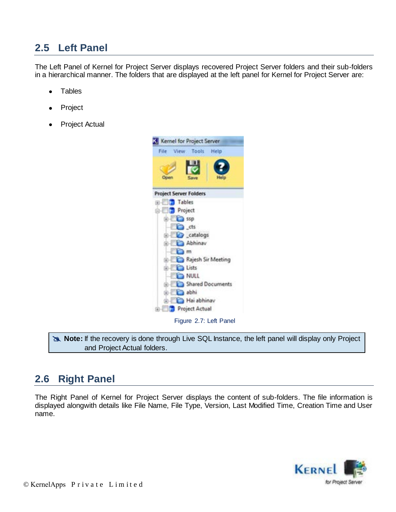## **2.5 Left Panel**

The Left Panel of Kernel for Project Server displays recovered Project Server folders and their sub-folders in a hierarchical manner. The folders that are displayed at the left panel for Kernel for Project Server are:

- **Tables**  $\bullet$
- Project
- Project Actual



**Note:** If the recovery is done through Live SQL Instance, the left panel will display only Project and Project Actual folders.

### **2.6 Right Panel**

The Right Panel of Kernel for Project Server displays the content of sub-folders. The file information is displayed alongwith details like File Name, File Type, Version, Last Modified Time, Creation Time and User name.

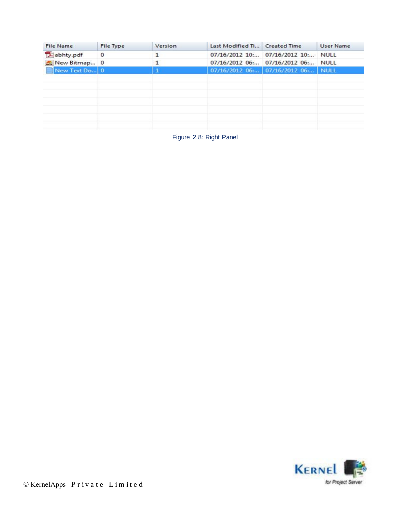| <b>File Name</b> | File Type   | Version | Last Modified Ti Created Time |                                    | <b>User Name</b> |
|------------------|-------------|---------|-------------------------------|------------------------------------|------------------|
| abhty.pdf        | $\mathbf 0$ |         |                               | 07/16/2012 10: 07/16/2012 10:      | <b>NULL</b>      |
| New Bitmap 0     |             |         |                               | 07/16/2012 06: 07/16/2012 06:      | <b>NULL</b>      |
| New Text Do 0    |             |         |                               | 07/16/2012 06: 07/16/2012 06: NULL |                  |
|                  |             |         |                               |                                    |                  |
|                  |             |         |                               |                                    |                  |
|                  |             |         |                               |                                    |                  |
|                  |             |         |                               |                                    |                  |
|                  |             |         |                               |                                    |                  |
|                  |             |         |                               |                                    |                  |
|                  |             |         |                               |                                    |                  |

Figure 2.8: Right Panel

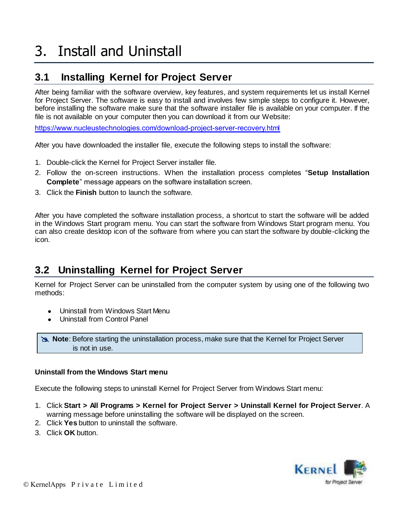# 3. Install and Uninstall

## **3.1 Installing Kernel for Project Server**

After being familiar with the software overview, key features, and system requirements let us install Kernel for Project Server. The software is easy to install and involves few simple steps to configure it. However, before installing the software make sure that the software installer file is available on your computer. If the file is not available on your computer then you can download it from our Website:

https://www.nucleustechnologies.com/download-project-server-recovery.html

After you have downloaded the installer file, execute the following steps to install the software:

- 1. Double-click the Kernel for Project Server installer file.
- 2. Follow the on-screen instructions. When the installation process completes "**Setup Installation Complete**" message appears on the software installation screen.
- 3. Click the **Finish** button to launch the software.

After you have completed the software installation process, a shortcut to start the software will be added in the Windows Start program menu. You can start the software from Windows Start program menu. You can also create desktop icon of the software from where you can start the software by double-clicking the icon.

### **3.2 Uninstalling Kernel for Project Server**

Kernel for Project Server can be uninstalled from the computer system by using one of the following two methods:

- Uninstall from Windows Start Menu
- Uninstall from Control Panel

 **Note**: Before starting the uninstallation process, make sure that the Kernel for Project Server is not in use.

#### **Uninstall from the Windows Start menu**

Execute the following steps to uninstall Kernel for Project Server from Windows Start menu:

- 1. Click **Start > All Programs > Kernel for Project Server > Uninstall Kernel for Project Server**. A warning message before uninstalling the software will be displayed on the screen.
- 2. Click **Yes** button to uninstall the software.
- 3. Click **OK** button.

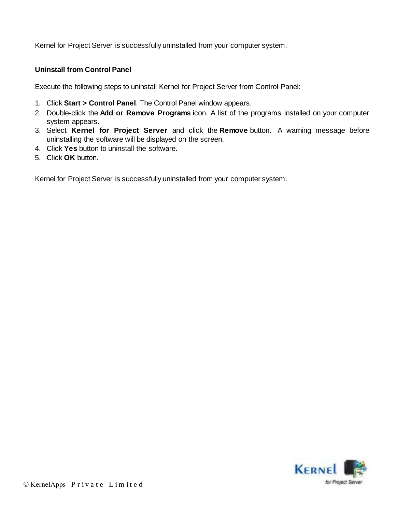Kernel for Project Server is successfully uninstalled from your computer system.

### **Uninstall from Control Panel**

Execute the following steps to uninstall Kernel for Project Server from Control Panel:

- 1. Click **Start > Control Panel**. The Control Panel window appears.
- 2. Double-click the **Add or Remove Programs** icon. A list of the programs installed on your computer system appears.
- 3. Select **Kernel for Project Server** and click the **Remove** button. A warning message before uninstalling the software will be displayed on the screen.
- 4. Click **Yes** button to uninstall the software.
- 5. Click **OK** button.

Kernel for Project Server is successfully uninstalled from your computer system.

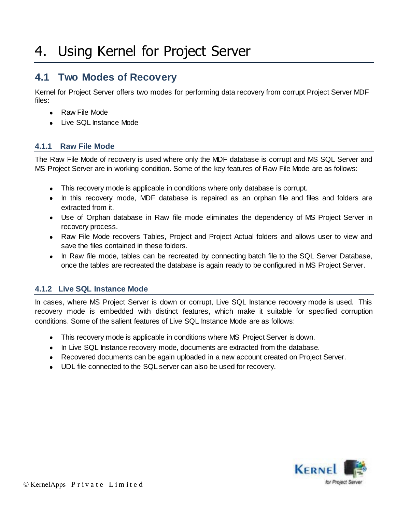## 4. Using Kernel for Project Server

### **4.1 Two Modes of Recovery**

Kernel for Project Server offers two modes for performing data recovery from corrupt Project Server MDF files:

- Raw File Mode
- Live SQL Instance Mode

### **4.1.1 Raw File Mode**

The Raw File Mode of recovery is used where only the MDF database is corrupt and MS SQL Server and MS Project Server are in working condition. Some of the key features of Raw File Mode are as follows:

- This recovery mode is applicable in conditions where only database is corrupt.
- In this recovery mode, MDF database is repaired as an orphan file and files and folders are extracted from it.
- Use of Orphan database in Raw file mode eliminates the dependency of MS Project Server in recovery process.
- Raw File Mode recovers Tables, Project and Project Actual folders and allows user to view and save the files contained in these folders.
- In Raw file mode, tables can be recreated by connecting batch file to the SQL Server Database, once the tables are recreated the database is again ready to be configured in MS Project Server.

### **4.1.2 Live SQL Instance Mode**

In cases, where MS Project Server is down or corrupt, Live SQL Instance recovery mode is used. This recovery mode is embedded with distinct features, which make it suitable for specified corruption conditions. Some of the salient features of Live SQL Instance Mode are as follows:

- This recovery mode is applicable in conditions where MS Project Server is down.
- In Live SQL Instance recovery mode, documents are extracted from the database.
- Recovered documents can be again uploaded in a new account created on Project Server.
- UDL file connected to the SQL server can also be used for recovery.

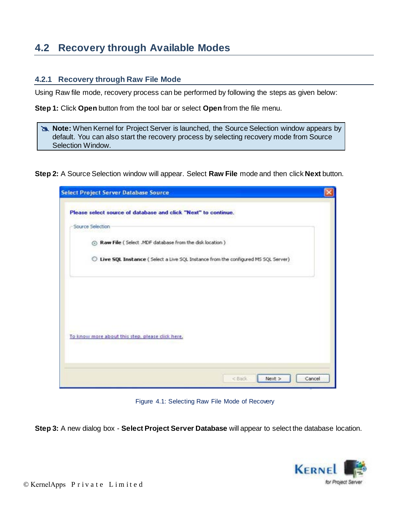## **4.2 Recovery through Available Modes**

### **4.2.1 Recovery through Raw File Mode**

Using Raw file mode, recovery process can be performed by following the steps as given below:

**Step 1:** Click **Open** button from the tool bar or select **Open** from the file menu.

**Note:** When Kernel for Project Server is launched, the Source Selection window appears by default. You can also start the recovery process by selecting recovery mode from Source Selection Window.

**Step 2:** A Source Selection window will appear. Select **Raw File** mode and then click **Next** button.

| <b>Select Project Server Database Source</b>                                        |  |
|-------------------------------------------------------------------------------------|--|
| Please select source of database and click "Next" to continue.                      |  |
| Source Selection                                                                    |  |
| A Raw File ( Select .MDF database from the disk location )                          |  |
| C Live SQL Instance ( Select a Live SQL Instance from the configured MS SQL Server) |  |
|                                                                                     |  |
|                                                                                     |  |
|                                                                                     |  |
|                                                                                     |  |
|                                                                                     |  |
| To know more about this step, please click here,                                    |  |
|                                                                                     |  |
|                                                                                     |  |
|                                                                                     |  |

Figure 4.1: Selecting Raw File Mode of Recovery

**Step 3:** A new dialog box - **Select Project Server Database** will appear to select the database location.

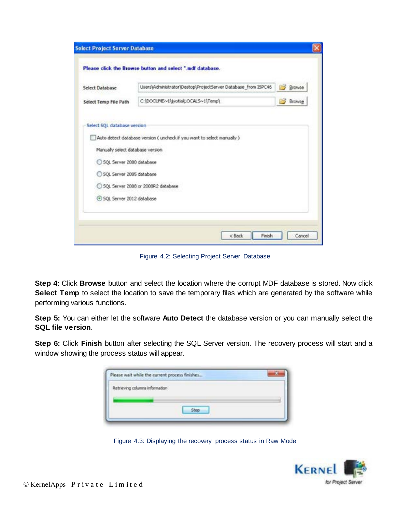| Users\Administrator\Destop\ProjectServer Database_from ISPC46<br><b>Browse</b><br>Select Database<br>C:\DOCUME~1\jyotia\LOCALS~1\Temp\<br><b>Browse</b><br>Select SQL database version<br>Auto detect database version ( uncheck if you want to select manually )<br>Manually select database version<br>SQL Server 2000 database<br>SQL Server 2005 database<br>SQL Server 2008 or 2008R2 database |                       | Please click the Browse button and select ".mdf database. |  |
|-----------------------------------------------------------------------------------------------------------------------------------------------------------------------------------------------------------------------------------------------------------------------------------------------------------------------------------------------------------------------------------------------------|-----------------------|-----------------------------------------------------------|--|
|                                                                                                                                                                                                                                                                                                                                                                                                     |                       |                                                           |  |
|                                                                                                                                                                                                                                                                                                                                                                                                     | Select Temp File Path |                                                           |  |
|                                                                                                                                                                                                                                                                                                                                                                                                     |                       |                                                           |  |
|                                                                                                                                                                                                                                                                                                                                                                                                     |                       |                                                           |  |
|                                                                                                                                                                                                                                                                                                                                                                                                     |                       |                                                           |  |
| C SOL Server 2012 database                                                                                                                                                                                                                                                                                                                                                                          |                       |                                                           |  |

Figure 4.2: Selecting Project Server Database

**Step 4:** Click **Browse** button and select the location where the corrupt MDF database is stored. Now click **Select Temp** to select the location to save the temporary files which are generated by the software while performing various functions.

**Step 5:** You can either let the software **Auto Detect** the database version or you can manually select the **SQL file version**.

**Step 6:** Click **Finish** button after selecting the SQL Server version. The recovery process will start and a window showing the process status will appear.

|                                | Please wait while the current process finishes |  |
|--------------------------------|------------------------------------------------|--|
| Retrieving columns information |                                                |  |
|                                |                                                |  |
|                                | <b>Stop</b>                                    |  |

Figure 4.3: Displaying the recovery process status in Raw Mode

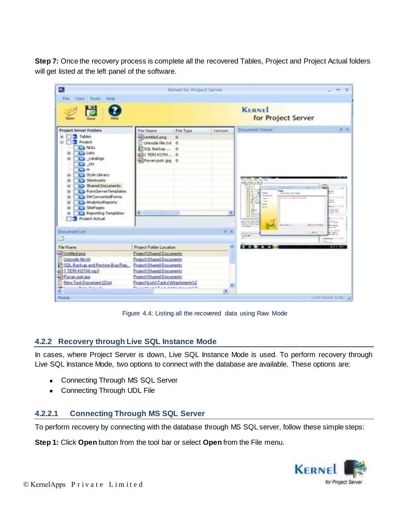**Step 7:** Once the recovery process is complete all the recovered Tables, Project and Project Actual folders will get listed at the left panel of the software.

| ĸ                                                                                                                                                                                                        |                                                                                  | Kernel for Project Server |         |                |                                                                                                                                                                                                                                                                               | $  \times$                                                                                                             |
|----------------------------------------------------------------------------------------------------------------------------------------------------------------------------------------------------------|----------------------------------------------------------------------------------|---------------------------|---------|----------------|-------------------------------------------------------------------------------------------------------------------------------------------------------------------------------------------------------------------------------------------------------------------------------|------------------------------------------------------------------------------------------------------------------------|
| File View Tools Help<br>Save                                                                                                                                                                             |                                                                                  |                           |         |                | <b>KERNEL</b><br>for Project Server                                                                                                                                                                                                                                           |                                                                                                                        |
| <b>Project Server Folders</b><br>Tables<br>Project                                                                                                                                                       | File Name<br>1) Unitated png<br>Unicode file.txt 0                               | File Type<br>ō            | Version |                | <b>Document Viewer</b>                                                                                                                                                                                                                                                        | <b>显示</b>                                                                                                              |
| <b>BALL</b><br><b>The Lists</b><br>Cal catalogs<br>$\Box$ ds<br>\⊟ m                                                                                                                                     | 50L Badup  0<br>@11 TERI KOTH 0<br>Pavan putr.jpg 0                              |                           |         |                |                                                                                                                                                                                                                                                                               |                                                                                                                        |
| Style Library<br>×<br>SteAssets<br>Shared Documents<br>FormServerTemplates<br>×<br>IWConvertedForms<br>ж<br>AnalyticsReports<br>۰<br><b>Call SitePages</b><br>闹<br>Reporting Templates<br>Project Actual | <b>Contract Contract Contract Contract Contract</b>                              |                           |         | ×              | ALL W. May<br><b>AR STAR 4 B.M.</b><br><b>TEMPS</b><br>Fears.<br><b>Fame</b><br>The document counter than to<br>face and<br>34<br>that the company of the com-<br><b>DEST</b><br><b>INC</b><br>長田<br><b>Linkedo</b><br><b>CAR</b><br>t in<br><b>ALCOHOL:</b><br>E<br>(死亡性/無に) | T. Toked<br><b>Mark</b> 3<br>5th<br>m.<br>$\overline{\phantom{a}}$<br><b>STATE</b><br><b>STATISTICS</b><br><b>CTAM</b> |
| Document List                                                                                                                                                                                            |                                                                                  |                           |         | 0 <sup>2</sup> | <b>CRASH</b><br>されの大正人                                                                                                                                                                                                                                                        | <b>BAAID &amp; R RAIL</b><br><b>Elevant</b><br>---<br>an drive<br><b>CALL IN</b><br><b>ALC: UNK</b>                    |
| ш                                                                                                                                                                                                        |                                                                                  |                           |         |                | Modeller.                                                                                                                                                                                                                                                                     | <b>STANDING</b><br>had in the                                                                                          |
| File Name                                                                                                                                                                                                | Project Folder Location                                                          |                           |         | A              |                                                                                                                                                                                                                                                                               |                                                                                                                        |
| Untilled png<br>Unicode file hd<br>SQL Backup and Restore Bug Rep.                                                                                                                                       | Project\Shared Documents<br>Project/Shared Documents<br>Phoject\Shared Documents |                           |         |                |                                                                                                                                                                                                                                                                               |                                                                                                                        |
| @11 TERIXOTHLmp3<br>Pavan put pg                                                                                                                                                                         | Phoject/Shared Documents<br>Project/Shared Documents                             |                           |         |                |                                                                                                                                                                                                                                                                               |                                                                                                                        |
| New Text Document (2) tut<br>and I have a car Plate Price for<br>c                                                                                                                                       | Phoject/Lists\Tasks\Attachments\2<br>Paulo att finit Fasted Attachment A.S.      |                           | X.      |                |                                                                                                                                                                                                                                                                               |                                                                                                                        |
| Ready                                                                                                                                                                                                    |                                                                                  |                           |         |                |                                                                                                                                                                                                                                                                               | CAP WOM SCAL LE                                                                                                        |

Figure 4.4: Listing all the recovered data using Raw Mode

### **4.2.2 Recovery through Live SQL Instance Mode**

In cases, where Project Server is down, Live SQL Instance Mode is used. To perform recovery through Live SQL Instance Mode, two options to connect with the database are available. These options are:

- Connecting Through MS SQL Server
- Connecting Through UDL File

### **4.2.2.1 Connecting Through MS SQL Server**

To perform recovery by connecting with the database through MS SQL server, follow these simple steps:

**Step 1:** Click **Open** button from the tool bar or select **Open** from the File menu.

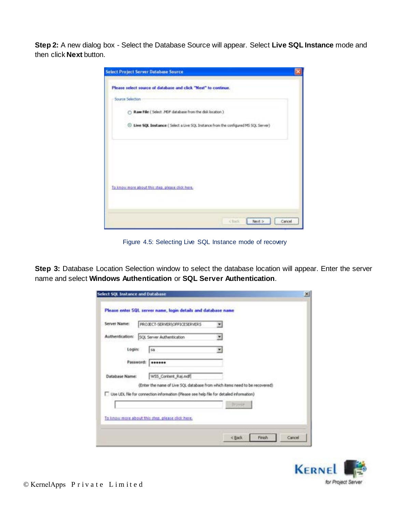**Step 2:** A new dialog box - Select the Database Source will appear. Select **Live SQL Instance** mode and then click **Next** button.

| Select Project Server Database Source                                                          |                   |
|------------------------------------------------------------------------------------------------|-------------------|
| Please select source of database and click "Next" to continue.                                 |                   |
| Source Selection                                                                               |                   |
| () Raw File ( Select .NDF database from the dok location )                                     |                   |
| <sup>3</sup> Live SQL Instance ( Select a Live SQL Instance from the configured MS SQL Server) |                   |
|                                                                                                |                   |
|                                                                                                |                   |
|                                                                                                |                   |
| To know more about this step, please click here.                                               |                   |
|                                                                                                |                   |
|                                                                                                |                   |
|                                                                                                | clud Next> Cancel |

Figure 4.5: Selecting Live SQL Instance mode of recovery

Step 3: Database Location Selection window to select the database location will appear. Enter the server name and select **Windows Authentication** or **SQL Server Authentication**.

| Server Name:          | PROJECT-SERVERIOFFICESERVERS                                                                                                                                                | ۰             |  |
|-----------------------|-----------------------------------------------------------------------------------------------------------------------------------------------------------------------------|---------------|--|
| Authentication:       | SQL Server Authentication                                                                                                                                                   | ۰             |  |
| Login:                | Isa                                                                                                                                                                         | ۰             |  |
| Password:             |                                                                                                                                                                             |               |  |
| <b>Database Name:</b> | WSS Content Raj.mdf                                                                                                                                                         |               |  |
|                       | (Enter the name of Live SQL database from which items need to be recovered).<br>[7] Use LCL file for connection information (Please see help file for detailed information) |               |  |
|                       |                                                                                                                                                                             | <b>Truyse</b> |  |

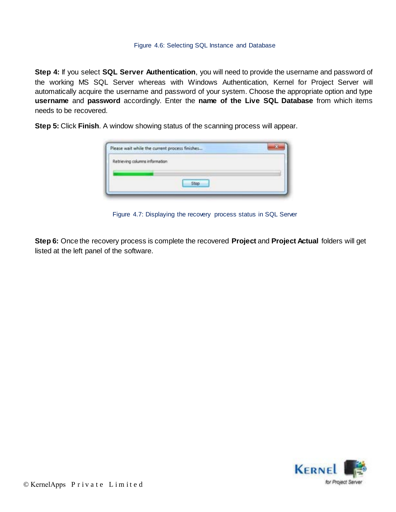#### Figure 4.6: Selecting SQL Instance and Database

**Step 4:** If you select **SQL Server Authentication**, you will need to provide the username and password of the working MS SQL Server whereas with Windows Authentication, Kernel for Project Server will automatically acquire the username and password of your system. Choose the appropriate option and type **username** and **password** accordingly. Enter the **name of the Live SQL Database** from which items needs to be recovered.

**Step 5:** Click **Finish**. A window showing status of the scanning process will appear.

| Retrieving columns information |                   |  |
|--------------------------------|-------------------|--|
|                                |                   |  |
|                                |                   |  |
|                                | 5top <sup>1</sup> |  |

Figure 4.7: Displaying the recovery process status in SQL Server

**Step 6:** Once the recovery process is complete the recovered **Project** and **Project Actual** folders will get listed at the left panel of the software.

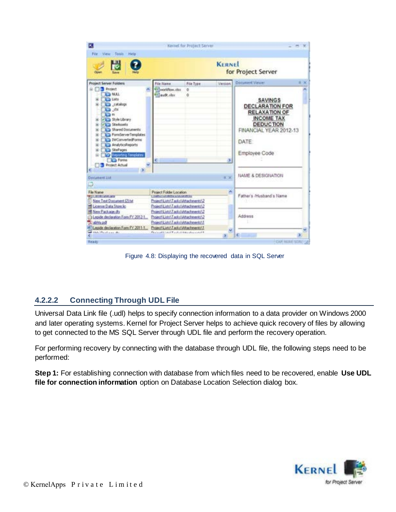

Figure 4.8: Displaying the recovered data in SQL Server

### **4.2.2.2 Connecting Through UDL File**

Universal Data Link file (.udl) helps to specify connection information to a data provider on Windows 2000 and later operating systems. Kernel for Project Server helps to achieve quick recovery of files by allowing to get connected to the MS SQL Server through UDL file and perform the recovery operation.

For performing recovery by connecting with the database through UDL file, the following steps need to be performed:

**Step 1:** For establishing connection with database from which files need to be recovered, enable **Use UDL file for connection information** option on Database Location Selection dialog box.

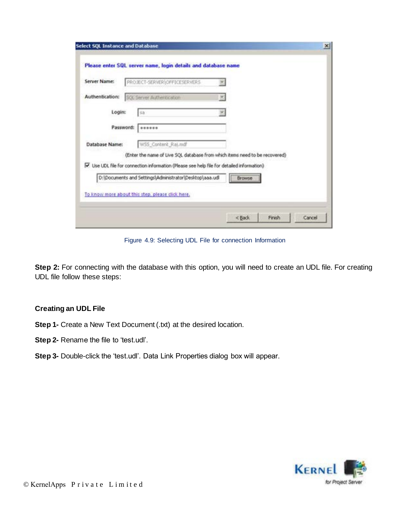| Server Name:    | PROJECT-SERVER\OFFICESERVERS                                                                                                                                             | w                        |        |  |
|-----------------|--------------------------------------------------------------------------------------------------------------------------------------------------------------------------|--------------------------|--------|--|
| Authentication: | SQL Server Authentication                                                                                                                                                | $\overline{\mathcal{F}}$ |        |  |
| Login:          | 58                                                                                                                                                                       | ×                        |        |  |
|                 | Password:<br>******                                                                                                                                                      |                          |        |  |
| Database Name:  | WSS_Content_Raj.mdf                                                                                                                                                      |                          |        |  |
|                 | (Enter the name of Live SQL database from which items need to be recovered)<br>V Use UDL file for connection information (Please see help file for detailed information) |                          |        |  |
|                 | D:\Documents and Settings\Administrator\Desktop\aaa.udl                                                                                                                  |                          | Browse |  |

Figure 4.9: Selecting UDL File for connection Information

**Step 2:** For connecting with the database with this option, you will need to create an UDL file. For creating UDL file follow these steps:

#### **Creating an UDL File**

- **Step 1-** Create a New Text Document (.txt) at the desired location.
- **Step 2-** Rename the file to 'test.udl'.
- **Step 3-** Double-click the 'test.udl'. Data Link Properties dialog box will appear.

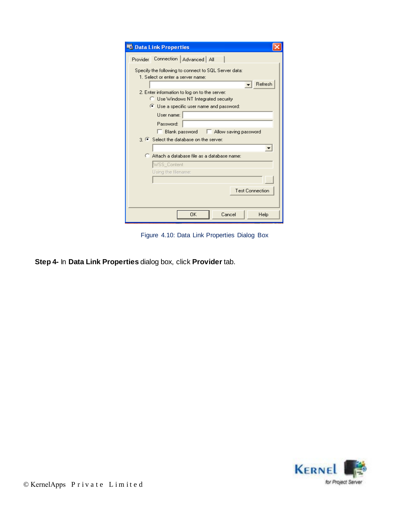| <b>ED Data Link Properties</b>                                                            |
|-------------------------------------------------------------------------------------------|
| Connection   Advanced   All<br><b>Provider</b>                                            |
| Specify the following to connect to SQL Server data:<br>1. Select or enter a server name: |
| Refresh                                                                                   |
| 2. Enter information to log on to the server:                                             |
| <b>C</b> Use Windows NT Integrated security                                               |
| Use a specific user name and password:                                                    |
| User name:                                                                                |
| Password:                                                                                 |
| Blank password<br>Allow saving password                                                   |
| 3 • Select the database on the server:                                                    |
|                                                                                           |
| C Attach a database file as a database name:                                              |
|                                                                                           |
| WSS_Content<br>Using the filename:                                                        |
|                                                                                           |
|                                                                                           |
| <b>Test Connection</b>                                                                    |
|                                                                                           |
| 0K<br>Cancel<br>Help                                                                      |

Figure 4.10: Data Link Properties Dialog Box

**Step 4-** In **Data Link Properties** dialog box, click **Provider** tab.

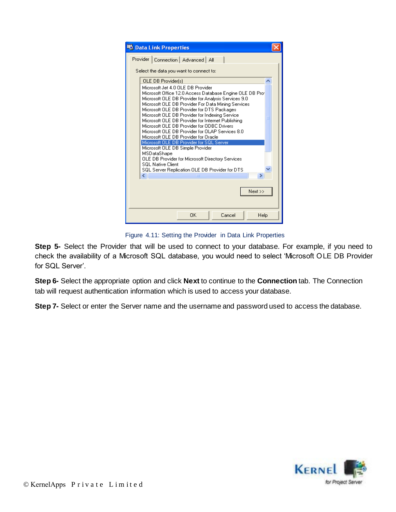| <b>B</b> Data Link Properties                                                                                                                                                                                                                                                                                                                                                                                                                                                                                                                                                                                                                                                                                                                    |  |
|--------------------------------------------------------------------------------------------------------------------------------------------------------------------------------------------------------------------------------------------------------------------------------------------------------------------------------------------------------------------------------------------------------------------------------------------------------------------------------------------------------------------------------------------------------------------------------------------------------------------------------------------------------------------------------------------------------------------------------------------------|--|
| Provider   Connection   Advanced   All                                                                                                                                                                                                                                                                                                                                                                                                                                                                                                                                                                                                                                                                                                           |  |
| Select the data you want to connect to:                                                                                                                                                                                                                                                                                                                                                                                                                                                                                                                                                                                                                                                                                                          |  |
| OLE DB Provider[s]                                                                                                                                                                                                                                                                                                                                                                                                                                                                                                                                                                                                                                                                                                                               |  |
| Microsoft Jet 4.0 OLE DB Provider<br>Microsoft Office 12.0 Access Database Engine OLE DB Prof<br>Microsoft OLE DB Provider for Analysis Services 9.0<br>Microsoft OLE DB Provider For Data Mining Services<br>Microsoft OLE DB Provider for DTS Packages<br>Microsoft OLE DB Provider for Indexing Service<br>Microsoft OLE DB Provider for Internet Publishing<br>Microsoft OLE DB Provider for ODBC Drivers<br>Microsoft OLE DB Provider for OLAP Services 8.0<br>Microsoft OLE DB Provider for Oracle<br>Microsoft OLE DB Provider for SQL Server<br>Microsoft OLE DB Simple Provider<br>MSDataShape<br><b>OLE DB Provider for Microsoft Directory Services</b><br><b>SQL Native Client</b><br>SQL Server Replication OLE DB Provider for DTS |  |
| ШI                                                                                                                                                                                                                                                                                                                                                                                                                                                                                                                                                                                                                                                                                                                                               |  |
| $Next$ >>                                                                                                                                                                                                                                                                                                                                                                                                                                                                                                                                                                                                                                                                                                                                        |  |
| Cancel<br>ΠK<br>Help                                                                                                                                                                                                                                                                                                                                                                                                                                                                                                                                                                                                                                                                                                                             |  |

Figure 4.11: Setting the Provider in Data Link Properties

**Step 5-** Select the Provider that will be used to connect to your database. For example, if you need to check the availability of a Microsoft SQL database, you would need to select "Microsoft OLE DB Provider for SQL Server'.

**Step 6-** Select the appropriate option and click **Next** to continue to the **Connection** tab. The Connection tab will request authentication information which is used to access your database.

**Step 7-** Select or enter the Server name and the username and password used to access the database.

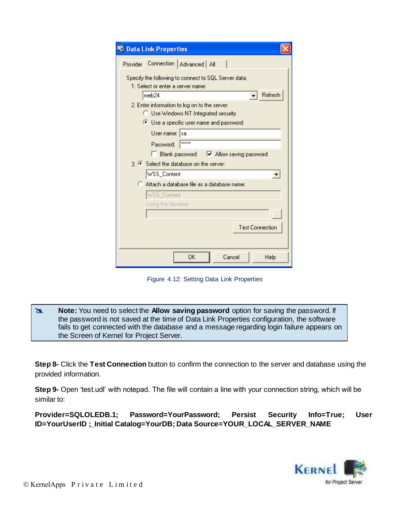| <b>ED</b> Data Link Properties                                                            |  |  |  |
|-------------------------------------------------------------------------------------------|--|--|--|
| Connection   Advanced   All<br>Provider                                                   |  |  |  |
| Specify the following to connect to SQL Server data:<br>1. Select or enter a server name: |  |  |  |
| Refresh<br>web24                                                                          |  |  |  |
| 2. Enter information to log on to the server:<br>C Use Windows NT Integrated security     |  |  |  |
| ● Use a specific user name and password:                                                  |  |  |  |
| User name:<br>sa                                                                          |  |  |  |
| xxxxx<br>Password:                                                                        |  |  |  |
| Blank password<br>M Allow saving password                                                 |  |  |  |
| 3. C Select the database on the server:                                                   |  |  |  |
| WSS_Content<br>▼                                                                          |  |  |  |
| C Attach a database file as a database name:                                              |  |  |  |
| WSS_Content                                                                               |  |  |  |
| Using the filename:                                                                       |  |  |  |
|                                                                                           |  |  |  |
| <b>Test Connection</b>                                                                    |  |  |  |
| 0K<br>Cancel<br>Help                                                                      |  |  |  |

Figure 4.12: Setting Data Link Properties

**Note:** You need to select the **Allow saving password** option for saving the password. If the password is not saved at the time of Data Link Properties configuration, the software fails to get connected with the database and a message regarding login failure appears on the Screen of Kernel for Project Server.

**Step 8-** Click the **Test Connection** button to confirm the connection to the server and database using the provided information.

**Step 9-** Open 'test.udl' with notepad. The file will contain a line with your connection string, which will be similar to:

**Provider=SQLOLEDB.1; Password=YourPassword; Persist Security Info=True; User ID=YourUserID ;\_Initial Catalog=YourDB; Data Source=YOUR\_LOCAL\_SERVER\_NAME** 

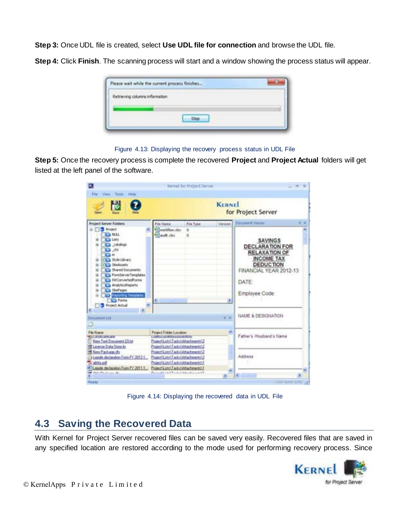**Step 3:** Once UDL file is created, select **Use UDL file for connection** and browse the UDL file.

**Step 4:** Click **Finish**. The scanning process will start and a window showing the process status will appear.

|                                | www.article.com/www.article.com/www.article.com |  |
|--------------------------------|-------------------------------------------------|--|
| Retrieving columns information |                                                 |  |
|                                |                                                 |  |
|                                | <b>Stop</b>                                     |  |

Figure 4.13: Displaying the recovery process status in UDL File

**Step 5:** Once the recovery process is complete the recovered **Project** and **Project Actual** folders will get listed at the left panel of the software.

| π<br>File View Tools<br><b>Help</b>                                                                                                                                                                                                                                                                                                                          |                                                                                                                                                 | Kernet for Project Server |          |                                                                                                                                                               |
|--------------------------------------------------------------------------------------------------------------------------------------------------------------------------------------------------------------------------------------------------------------------------------------------------------------------------------------------------------------|-------------------------------------------------------------------------------------------------------------------------------------------------|---------------------------|----------|---------------------------------------------------------------------------------------------------------------------------------------------------------------|
| $\frac{1}{\sqrt{2}}$<br><b>KERNEL</b><br>for Project Server<br><b>Close</b>                                                                                                                                                                                                                                                                                  |                                                                                                                                                 |                           |          |                                                                                                                                                               |
| <b>Project Server Folders</b>                                                                                                                                                                                                                                                                                                                                | File Name                                                                                                                                       | File Type                 | Viersion | <b>Doiument Viewer</b><br>生义                                                                                                                                  |
| To Frainch<br><b>KTM NASA</b><br><b>Lists</b><br><b>Call catalogs</b><br>12.05<br>Ch in<br>Villa Style Library<br><b>VIII</b> SteAsiets<br><b>ID Shared Documents</b><br>ForteGerverTemplates<br><b>ICI DWConvertedForms</b><br><b>ICI AnalyticsReports</b><br>3 Shefrages<br><b>TP</b> Reporting Templates<br><b>Call Forms</b><br><b>TE Froject Actual</b> | <b>Milworldtow.xltx</b><br><b>Efflaudit</b> also<br>¢.                                                                                          | a<br>ă                    | 3.       | <b>SAVINGS</b><br><b>DECLARATION FOR</b><br><b>RELAXATION OF</b><br><b>INCOME TAX</b><br><b>DEDUCTION</b><br>FINANCIAL YEAR 2012-13<br>DATE:<br>Employee Code |
| <b>Cocument Ltd.</b><br>o                                                                                                                                                                                                                                                                                                                                    |                                                                                                                                                 |                           | 8.00     | NAME & DESIGNATION                                                                                                                                            |
| File Name<br><b>PERCONSTRUCTION</b><br>New Text Document (21tut)<br><b>IS License Data Store lic</b>                                                                                                                                                                                                                                                         | Project Folder Location<br>L'AMBÉE SUIVISIEN L'OCAVIENNE<br>Project/List(\Tasks\Attachments\2)<br>Project/Lists\Tasks\Atlachments\2             |                           |          | Father's /Husband's Name                                                                                                                                      |
| <b>15 New Package do</b><br>-1 Lepide declaration Form PY 2012-1<br>31 abhly pot<br>6 Leoide declaration Form FY 2011-1.                                                                                                                                                                                                                                     | Project/Lin/\Tarks\Attachments\2<br>Project/Listr\Tasks\Attachments\2<br>Project/Lists\Tasks\Attachments\1<br>Project/Lists\Tasks\Atlacherent\T |                           |          | Address                                                                                                                                                       |
| and said Physician de                                                                                                                                                                                                                                                                                                                                        | Physical List of Taylork American intell                                                                                                        |                           |          | ×                                                                                                                                                             |
| Ready                                                                                                                                                                                                                                                                                                                                                        |                                                                                                                                                 |                           |          | CAR MULE SON - 2                                                                                                                                              |

Figure 4.14: Displaying the recovered data in UDL File

### **4.3 Saving the Recovered Data**

With Kernel for Project Server recovered files can be saved very easily. Recovered files that are saved in any specified location are restored according to the mode used for performing recovery process. Since

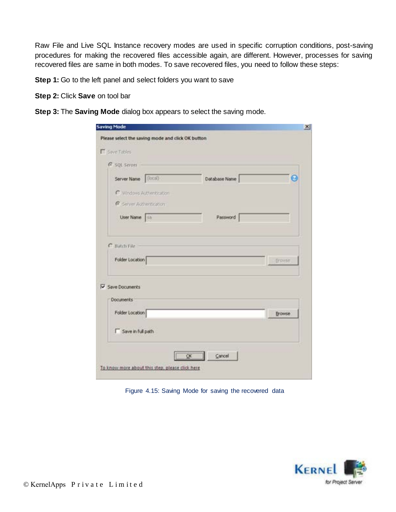Raw File and Live SQL Instance recovery modes are used in specific corruption conditions, post-saving procedures for making the recovered files accessible again, are different. However, processes for saving recovered files are same in both modes. To save recovered files, you need to follow these steps:

**Step 1:** Go to the left panel and select folders you want to save

**Step 2:** Click **Save** on tool bar

**Step 3:** The **Saving Mode** dialog box appears to select the saving mode.

| <b>F</b> Save Tables       |               |               |
|----------------------------|---------------|---------------|
| G SQL Server               |               |               |
| Server Name (local)        | Database Name | ø             |
| C Windows Authentication   |               |               |
| R Seiver Authentication    |               |               |
| User Name   sa             | Password      |               |
| Save Documents             |               |               |
| <b>Documents</b>           |               |               |
| Folder Location            |               | <b>Browse</b> |
| <b>F</b> Save in full path |               |               |

Figure 4.15: Saving Mode for saving the recovered data

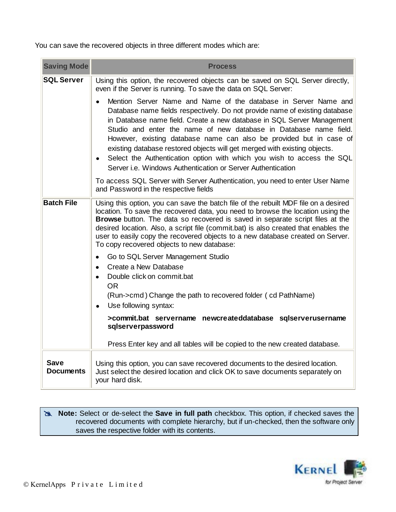You can save the recovered objects in three different modes which are:

| <b>Saving Mode</b>              | <b>Process</b>                                                                                                                                                                                                                                                                                                                                                                                                                                                                                                                                                                             |
|---------------------------------|--------------------------------------------------------------------------------------------------------------------------------------------------------------------------------------------------------------------------------------------------------------------------------------------------------------------------------------------------------------------------------------------------------------------------------------------------------------------------------------------------------------------------------------------------------------------------------------------|
| <b>SQL Server</b>               | Using this option, the recovered objects can be saved on SQL Server directly,<br>even if the Server is running. To save the data on SQL Server:                                                                                                                                                                                                                                                                                                                                                                                                                                            |
|                                 | Mention Server Name and Name of the database in Server Name and<br>Database name fields respectively. Do not provide name of existing database<br>in Database name field. Create a new database in SQL Server Management<br>Studio and enter the name of new database in Database name field.<br>However, existing database name can also be provided but in case of<br>existing database restored objects will get merged with existing objects.<br>Select the Authentication option with which you wish to access the SQL<br>Server i.e. Windows Authentication or Server Authentication |
|                                 | To access SQL Server with Server Authentication, you need to enter User Name<br>and Password in the respective fields                                                                                                                                                                                                                                                                                                                                                                                                                                                                      |
| <b>Batch File</b>               | Using this option, you can save the batch file of the rebuilt MDF file on a desired<br>location. To save the recovered data, you need to browse the location using the<br>Browse button. The data so recovered is saved in separate script files at the<br>desired location. Also, a script file (commit.bat) is also created that enables the<br>user to easily copy the recovered objects to a new database created on Server.<br>To copy recovered objects to new database:                                                                                                             |
|                                 | Go to SQL Server Management Studio<br>$\bullet$<br>Create a New Database<br>$\bullet$<br>Double click on commit.bat<br>$\bullet$<br><b>OR</b><br>(Run->cmd) Change the path to recovered folder (cd PathName)<br>Use following syntax:<br>$\bullet$                                                                                                                                                                                                                                                                                                                                        |
|                                 | >commit.bat servername newcreateddatabase sqlserverusername<br>sqlserverpassword                                                                                                                                                                                                                                                                                                                                                                                                                                                                                                           |
|                                 | Press Enter key and all tables will be copied to the new created database.                                                                                                                                                                                                                                                                                                                                                                                                                                                                                                                 |
| <b>Save</b><br><b>Documents</b> | Using this option, you can save recovered documents to the desired location.<br>Just select the desired location and click OK to save documents separately on<br>your hard disk.                                                                                                                                                                                                                                                                                                                                                                                                           |

#### **Note:** Select or de-select the **Save in full path** checkbox. This option, if checked saves the recovered documents with complete hierarchy, but if un-checked, then the software only saves the respective folder with its contents.

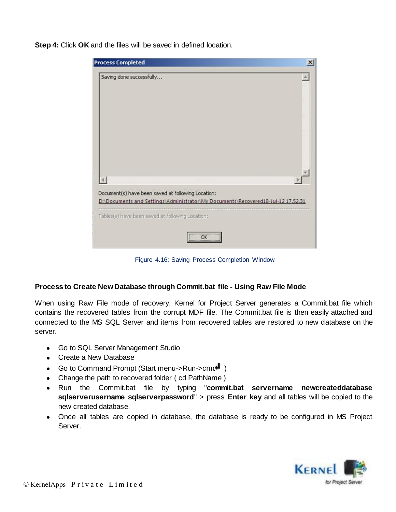**Step 4:** Click **OK** and the files will be saved in defined location.

| <b>Process Completed</b>                                                                                                               |  |
|----------------------------------------------------------------------------------------------------------------------------------------|--|
| Saving done successfully                                                                                                               |  |
|                                                                                                                                        |  |
| Document(s) have been saved at following Location:<br>D:\Documents and Settings\Administrator\My Documents\Recovered18-Jul-12 17.52.31 |  |
| Tables(s) have been saved at following Location:                                                                                       |  |
| $\overline{OK}$<br>                                                                                                                    |  |

Figure 4.16: Saving Process Completion Window

#### **Process to Create New Database through Commit.bat file - Using Raw File Mode**

When using Raw File mode of recovery, Kernel for Project Server generates a Commit.bat file which contains the recovered tables from the corrupt MDF file. The Commit.bat file is then easily attached and connected to the MS SQL Server and items from recovered tables are restored to new database on the server.

- Go to SQL Server Management Studio
- Create a New Database
- Go to Command Prompt (Start menu->Run->cmc+ )
- Change the path to recovered folder ( cd PathName )
- Run the Commit.bat file by typing "**commit.bat servername newcreateddatabase sqlserverusername sqlserverpassword**" > press **Enter key** and all tables will be copied to the new created database.
- Once all tables are copied in database, the database is ready to be configured in MS Project Server.

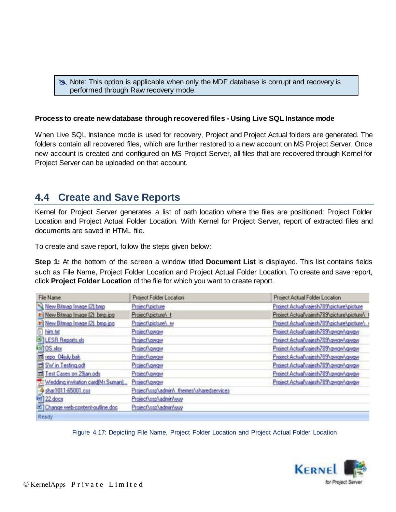#### Note: This option is applicable when only the MDF database is corrupt and recovery is performed through Raw recovery mode.

#### **Process to create new database through recovered files - Using Live SQL Instance mode**

When Live SQL Instance mode is used for recovery, Project and Project Actual folders are generated. The folders contain all recovered files, which are further restored to a new account on MS Project Server. Once new account is created and configured on MS Project Server, all files that are recovered through Kernel for Project Server can be uploaded on that account.

### **4.4 Create and Save Reports**

Kernel for Project Server generates a list of path location where the files are positioned: Project Folder Location and Project Actual Folder Location. With Kernel for Project Server, report of extracted files and documents are saved in HTML file.

To create and save report, follow the steps given below:

**Step 1:** At the bottom of the screen a window titled **Document List** is displayed. This list contains fields such as File Name, Project Folder Location and Project Actual Folder Location. To create and save report, click **Project Folder Location** of the file for which you want to create report.

| File Name                         | Project Folder Location                  | Project Actual Folder Location              |
|-----------------------------------|------------------------------------------|---------------------------------------------|
| New Bitmap Image (2) bmp          | Project \picture                         | Project Actual vajesh 789 \picture \picture |
| Mew Bitmap Image [2] bmp.jpg      | Project\picture\ t                       | Project Actual vajesh789\picture\picture\   |
| El New Bitmap Image (2) bmp.jpg   | Project\picture\ w                       | Project Actual\rajesh789\picture\picture\   |
| hirty bet                         | Project\gwgw                             | Project Actual vajesh789\gwgw\gwgw          |
| <b>BALESR Reports.xls</b>         | Project\gwgw                             | Project Actual vajesh 789 \gwgw\gwgw        |
| <b>BILOS</b> xlax                 | Project\gwgw                             | Project Actual uajesh 789\gwgw\gwgw         |
| mi repo 04july.bak                | Project vgwgw                            | Project Actual vajesh 789 \ gwgw \ gwgw     |
| 国 SW in Testing.odt               | Project\gwgw                             | Project Actual vajesh 789 \ gwgw \ gwgw     |
| Test Cases on 29jan.ods           | Project\gwgw                             | Project Actual trajesh 789 \ gwgw \ gwgw    |
| Wedding invitation card(Mr.Suman) | Project\gwgw                             | Project Actual vajesh789\gwgw\gwgw          |
| shar1011-65001.css                | Project\ssp\admin\ themes\sharedservices |                                             |
| (a) 22 docs                       | Project\ssp\admin\yuy                    |                                             |
| Change web-content-outline.doc    | Project\ssp\admin\yuy                    |                                             |
| Ready                             |                                          |                                             |

Figure 4.17: Depicting File Name, Project Folder Location and Project Actual Folder Location

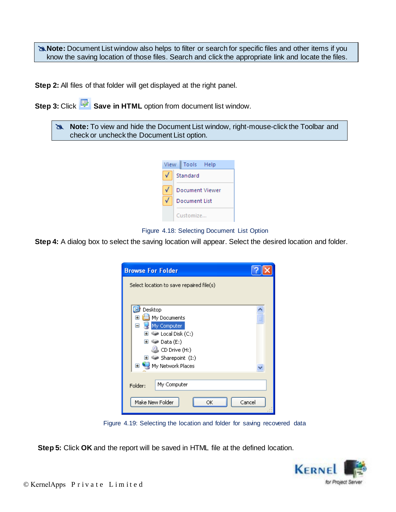**Note:** Document List window also helps to filter or search for specific files and other items if you know the saving location of those files. Search and click the appropriate link and locate the files.

**Step 2:** All files of that folder will get displayed at the right panel.

**Step 3: Click <b>S** Save in HTML option from document list window.

| <b>Note:</b> To view and hide the Document List window, right-mouse-click the Toolbar and |
|-------------------------------------------------------------------------------------------|
| check or uncheck the Document List option.                                                |



Figure 4.18: Selecting Document List Option

**Step 4:** A dialog box to select the saving location will appear. Select the desired location and folder.

| <b>Browse For Folder</b>                 |        |
|------------------------------------------|--------|
| Select location to save repaired file(s) |        |
| Desktop                                  |        |
| My Documents<br>⊞                        |        |
| My Computer<br>⊟                         |        |
| $\bullet$ Local Disk (C:)<br>Ŧ           |        |
| San Data (E:)<br>Œ                       |        |
| CD Drive (H:)                            |        |
| Sharepoint (I:)<br>⊞                     |        |
| My Network Places<br>⊞                   |        |
| My Computer<br>Folder:                   |        |
| Make New Folder<br>ОК                    | Cancel |

Figure 4.19: Selecting the location and folder for saving recovered data

**Step 5:** Click **OK** and the report will be saved in HTML file at the defined location.

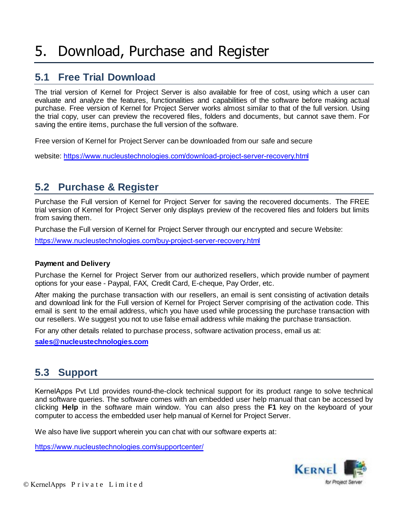## 5. Download, Purchase and Register

### **5.1 Free Trial Download**

The trial version of Kernel for Project Server is also available for free of cost, using which a user can evaluate and analyze the features, functionalities and capabilities of the software before making actual purchase. Free version of Kernel for Project Server works almost similar to that of the full version. Using the trial copy, user can preview the recovered files, folders and documents, but cannot save them. For saving the entire items, purchase the full version of the software.

Free version of Kernel for Project Server can be downloaded from our safe and secure

website: https://www.nucleustechnologies.com/download-project-server-recovery.html

### **5.2 Purchase & Register**

Purchase the Full version of Kernel for Project Server for saving the recovered documents. The FREE trial version of Kernel for Project Server only displays preview of the recovered files and folders but limits from saving them.

Purchase the Full version of Kernel for Project Server through our encrypted and secure Website:

https://www.nucleustechnologies.com/buy-project-server-recovery.html

#### **Payment and Delivery**

Purchase the Kernel for Project Server from our authorized resellers, which provide number of payment options for your ease - Paypal, FAX, Credit Card, E-cheque, Pay Order, etc.

After making the purchase transaction with our resellers, an email is sent consisting of activation details and download link for the Full version of Kernel for Project Server comprising of the activation code. This email is sent to the email address, which you have used while processing the purchase transaction with our resellers. We suggest you not to use false email address while making the purchase transaction.

For any other details related to purchase process, software activation process, email us at:

**sales@nucleustechnologies.com**

### **5.3 Support**

KernelApps Pvt Ltd provides round-the-clock technical support for its product range to solve technical and software queries. The software comes with an embedded user help manual that can be accessed by clicking **Help** in the software main window. You can also press the **F1** key on the keyboard of your computer to access the embedded user help manual of Kernel for Project Server.

We also have live support wherein you can chat with our software experts at:

https://www.nucleustechnologies.com/supportcenter/

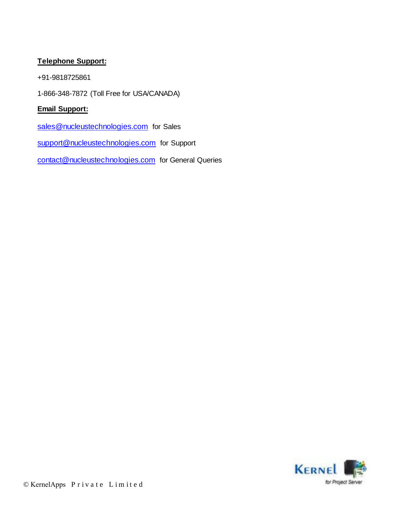### **Telephone Support:**

+91-9818725861

1-866-348-7872 (Toll Free for USA/CANADA)

### **Email Support:**

sales@nucleustechnologies.com for Sales

support@nucleustechnologies.com for Support

contact@nucleustechnologies.com for General Queries

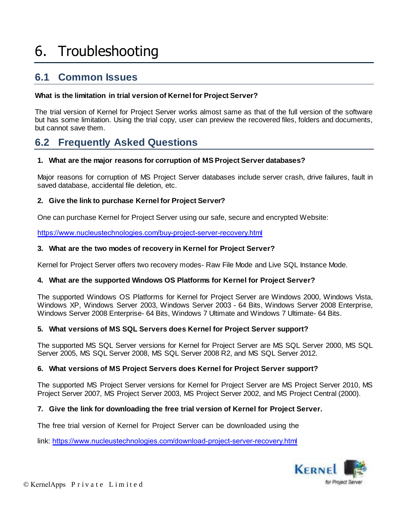# 6. Troubleshooting

### **6.1 Common Issues**

#### **What is the limitation in trial version of Kernel for Project Server?**

The trial version of Kernel for Project Server works almost same as that of the full version of the software but has some limitation. Using the trial copy, user can preview the recovered files, folders and documents, but cannot save them.

### **6.2 Frequently Asked Questions**

#### **1. What are the major reasons for corruption of MS Project Server databases?**

Major reasons for corruption of MS Project Server databases include server crash, drive failures, fault in saved database, accidental file deletion, etc.

#### **2. Give the link to purchase Kernel for Project Server?**

One can purchase Kernel for Project Server using our safe, secure and encrypted Website:

https://www.nucleustechnologies.com/buy-project-server-recovery.html

#### **3. What are the two modes of recovery in Kernel for Project Server?**

Kernel for Project Server offers two recovery modes- Raw File Mode and Live SQL Instance Mode.

#### **4. What are the supported Windows OS Platforms for Kernel for Project Server?**

The supported Windows OS Platforms for Kernel for Project Server are Windows 2000, Windows Vista, Windows XP, Windows Server 2003, Windows Server 2003 - 64 Bits, Windows Server 2008 Enterprise, Windows Server 2008 Enterprise- 64 Bits, Windows 7 Ultimate and Windows 7 Ultimate- 64 Bits.

#### **5. What versions of MS SQL Servers does Kernel for Project Server support?**

The supported MS SQL Server versions for Kernel for Project Server are MS SQL Server 2000, MS SQL Server 2005, MS SQL Server 2008, MS SQL Server 2008 R2, and MS SQL Server 2012.

#### **6. What versions of MS Project Servers does Kernel for Project Server support?**

The supported MS Project Server versions for Kernel for Project Server are MS Project Server 2010, MS Project Server 2007, MS Project Server 2003, MS Project Server 2002, and MS Project Central (2000).

#### **7. Give the link for downloading the free trial version of Kernel for Project Server.**

The free trial version of Kernel for Project Server can be downloaded using the

link: https://www.nucleustechnologies.com/download-project-server-recovery.html

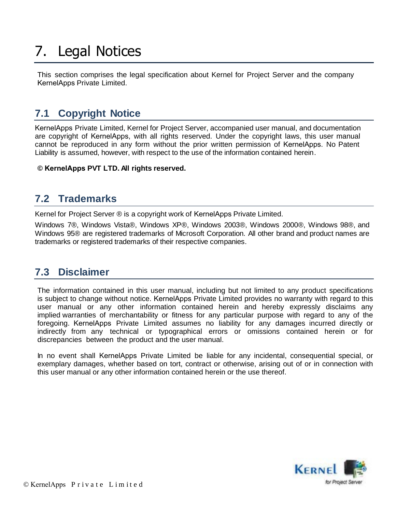# 7. Legal Notices

This section comprises the legal specification about Kernel for Project Server and the company KernelApps Private Limited.

## **7.1 Copyright Notice**

KernelApps Private Limited, Kernel for Project Server, accompanied user manual, and documentation are copyright of KernelApps, with all rights reserved. Under the copyright laws, this user manual cannot be reproduced in any form without the prior written permission of KernelApps. No Patent Liability is assumed, however, with respect to the use of the information contained herein.

**© KernelApps PVT LTD. All rights reserved.** 

### **7.2 Trademarks**

Kernel for Project Server ® is a copyright work of KernelApps Private Limited.

Windows 7®, Windows Vista®, Windows XP®, Windows 2003®, Windows 2000®, Windows 98®, and Windows 95® are registered trademarks of Microsoft Corporation. All other brand and product names are trademarks or registered trademarks of their respective companies.

### **7.3 Disclaimer**

The information contained in this user manual, including but not limited to any product specifications is subject to change without notice. KernelApps Private Limited provides no warranty with regard to this user manual or any other information contained herein and hereby expressly disclaims any implied warranties of merchantability or fitness for any particular purpose with regard to any of the foregoing. KernelApps Private Limited assumes no liability for any damages incurred directly or indirectly from any technical or typographical errors or omissions contained herein or for discrepancies between the product and the user manual.

In no event shall KernelApps Private Limited be liable for any incidental, consequential special, or exemplary damages, whether based on tort, contract or otherwise, arising out of or in connection with this user manual or any other information contained herein or the use thereof.